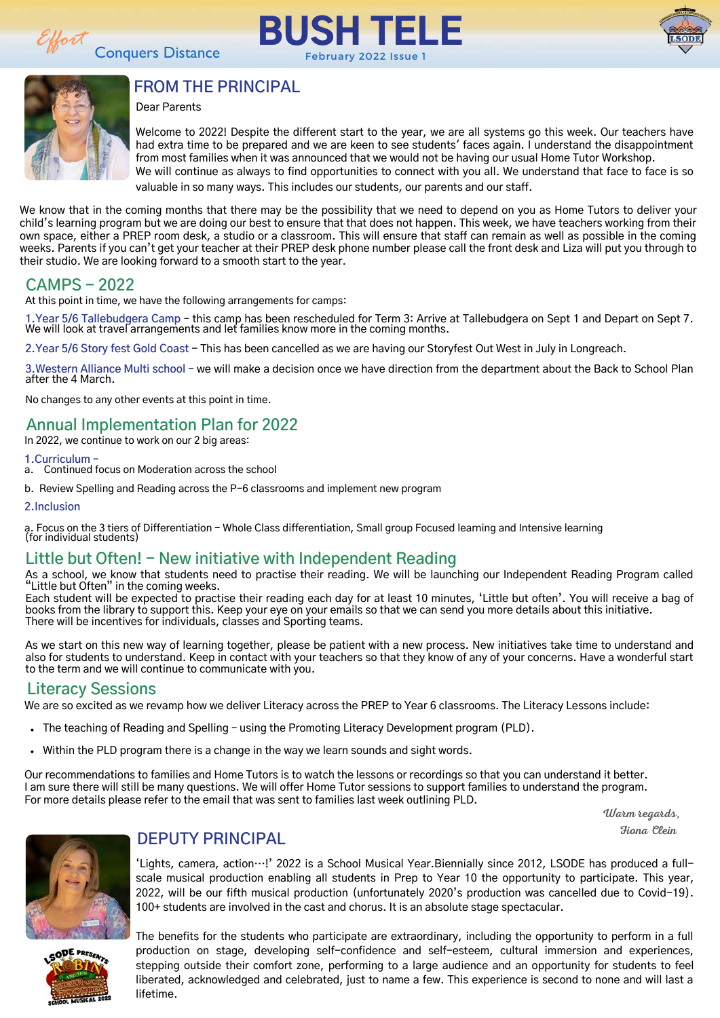





### **FROM THE PRINCIPAL**

Dear Parents

Welcome to 2022! Despite the different start to the year, we are all systems go this week. Our teachers have had extra time to be prepared and we are keen to see students' faces again. I understand the disappointment from most families when it was announced that we would not be having our usual Home Tutor Workshop. We will continue as always to find opportunities to connect with you all. We understand that face to face is so valuable in so many ways. This includes our students, our parents and our staff.

We know that in the coming months that there may be the possibility that we need to depend on you as Home Tutors to deliver your child's learning program but we are doing our best to ensure that that does not happen. This week, we have teachers working from their own space, either a PREP room desk, a studio or a classroom. This will ensure that staff can remain as well as possible in the coming weeks. Parents if you can't get your teacher at their PREP desk phone number please call the front desk and Liza will put you through to their studio. We are looking forward to a smooth start to the year.

#### **CAMPS - 2022**

At this point in time, we have the following arrangements for camps:

**1.Year 5/6 Tallebudgera Camp** – this camp has been rescheduled for Term 3: Arrive at Tallebudgera on Sept 1 and Depart on Sept 7. We will look at travel arrangements and let families know more in the coming months.

**2.Year 5/6 Story fest Gold Coast** - This has been cancelled as we are having our Storyfest Out West in July in Longreach.

**3.Western Alliance Multi school** – we will make a decision once we have direction from the department about the Back to School Plan after the 4 March.

No changes to any other events at this point in time.

#### **Annual Implementation Plan for 2022**

In 2022, we continue to work on our 2 big areas:

- **1.Curriculum –**
- a. Continued focus on Moderation across the school
- b. Review Spelling and Reading across the P-6 classrooms and implement new program

**2.Inclusion**

a. Focus on the 3 tiers of Differentiation - Whole Class differentiation, Small group Focused learning and Intensive learning (for individual students)

#### **Little but Often! - New initiative with Independent Reading**

As a school, we know that students need to practise their reading. We will be launching our Independent Reading Program called "Little but Often" in the coming weeks.

Each student will be expected to practise their reading each day for at least 10 minutes, 'Little but often'. You will receive a bag of books from the library to support this. Keep your eye on your emails so that we can send you more details about this initiative. There will be incentives for individuals, classes and Sporting teams.

As we start on this new way of learning together, please be patient with a new process. New initiatives take time to understand and also for students to understand. Keep in contact with your teachers so that they know of any of your concerns. Have a wonderful start to the term and we will continue to communicate with you.

#### **Literacy Sessions**

We are so excited as we revamp how we deliver Literacy across the PREP to Year 6 classrooms. The Literacy Lessons include:

- The teaching of Reading and Spelling using the Promoting Literacy Development program (PLD).
- Within the PLD program there is a change in the way we learn sounds and sight words.

Our recommendations to families and Home Tutors is to watch the lessons or recordings so that you can understand it better. I am sure there will still be many questions. We will offer Home Tutor sessions to support families to understand the program. For more details please refer to the email that was sent to families last week outlining PLD.

Warm regards, Fiona Plain



#### **DEPUTY PRINCIPAL**

'Lights, camera, action…!' 2022 is a School Musical Year.Biennially since 2012, LSODE has produced a fullscale musical production enabling all students in Prep to Year 10 the opportunity to participate. This year, 2022, will be our fifth musical production (unfortunately 2020's production was cancelled due to Covid-19). 100+ students are involved in the cast and chorus. It is an absolute stage spectacular.



The benefits for the students who participate are extraordinary, including the opportunity to perform in a full production on stage, developing self-confidence and self-esteem, cultural immersion and experiences, stepping outside their comfort zone, performing to a large audience and an opportunity for students to feel liberated, acknowledged and celebrated, just to name a few. This experience is second to none and will last a lifetime.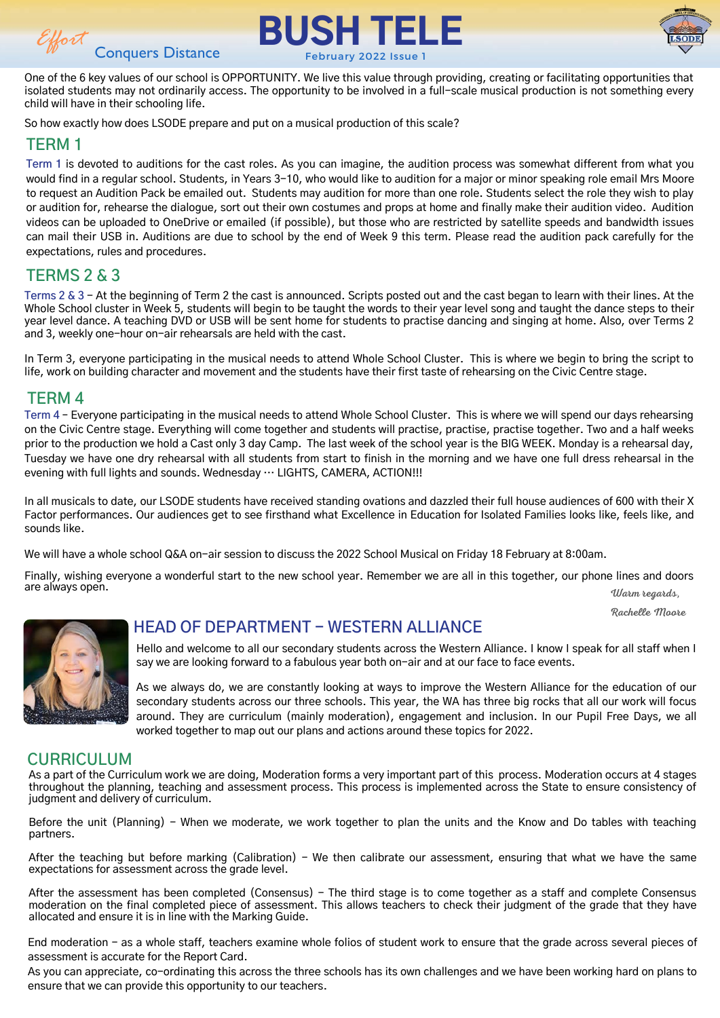





One of the 6 key values of our school is OPPORTUNITY. We live this value through providing, creating or facilitating opportunities that isolated students may not ordinarily access. The opportunity to be involved in a full-scale musical production is not something every child will have in their schooling life.

So how exactly how does LSODE prepare and put on a musical production of this scale?

#### **TERM 1**

**Term 1** is devoted to auditions for the cast roles. As you can imagine, the audition process was somewhat different from what you would find in a regular school. Students, in Years 3-10, who would like to audition for a major or minor speaking role email Mrs Moore to request an Audition Pack be emailed out. Students may audition for more than one role. Students select the role they wish to play or audition for, rehearse the dialogue, sort out their own costumes and props at home and finally make their audition video. Audition videos can be uploaded to OneDrive or emailed (if possible), but those who are restricted by satellite speeds and bandwidth issues can mail their USB in. Auditions are due to school by the end of Week 9 this term. Please read the audition pack carefully for the expectations, rules and procedures.

#### **TERMS 2 & 3**

**Terms 2 & 3** - At the beginning of Term 2 the cast is announced. Scripts posted out and the cast began to learn with their lines. At the Whole School cluster in Week 5, students will begin to be taught the words to their year level song and taught the dance steps to their year level dance. A teaching DVD or USB will be sent home for students to practise dancing and singing at home. Also, over Terms 2 and 3, weekly one-hour on-air rehearsals are held with the cast.

In Term 3, everyone participating in the musical needs to attend Whole School Cluster. This is where we begin to bring the script to life, work on building character and movement and the students have their first taste of rehearsing on the Civic Centre stage.

#### **TERM 4**

**Term 4** – Everyone participating in the musical needs to attend Whole School Cluster. This is where we will spend our days rehearsing on the Civic Centre stage. Everything will come together and students will practise, practise, practise together. Two and a half weeks prior to the production we hold a Cast only 3 day Camp. The last week of the school year is the BIG WEEK. Monday is a rehearsal day, Tuesday we have one dry rehearsal with all students from start to finish in the morning and we have one full dress rehearsal in the evening with full lights and sounds. Wednesday … LIGHTS, CAMERA, ACTION!!!

In all musicals to date, our LSODE students have received standing ovations and dazzled their full house audiences of 600 with their X Factor performances. Our audiences get to see firsthand what Excellence in Education for Isolated Families looks like, feels like, and sounds like.

We will have a whole school Q&A on-air session to discuss the 2022 School Musical on Friday 18 February at 8:00am.

Finally, wishing everyone a wonderful start to the new school year. Remember we are all in this together, our phone lines and doors are always open. Warm regards,

Rachelle Moore



#### **HEAD OF DEPARTMENT - WESTERN ALLIANCE**

Hello and welcome to all our secondary students across the Western Alliance. I know I speak for all staff when I say we are looking forward to a fabulous year both on-air and at our face to face events.

As we always do, we are constantly looking at ways to improve the Western Alliance for the education of our secondary students across our three schools. This year, the WA has three big rocks that all our work will focus around. They are curriculum (mainly moderation), engagement and inclusion. In our Pupil Free Days, we all worked together to map out our plans and actions around these topics for 2022.

#### **CURRICULUM**

As a part of the Curriculum work we are doing, Moderation forms a very important part of this process. Moderation occurs at 4 stages throughout the planning, teaching and assessment process. This process is implemented across the State to ensure consistency of judgment and delivery of curriculum.

Before the unit (Planning) - When we moderate, we work together to plan the units and the Know and Do tables with teaching partners.

After the teaching but before marking (Calibration) - We then calibrate our assessment, ensuring that what we have the same expectations for assessment across the grade level.

After the assessment has been completed (Consensus) - The third stage is to come together as a staff and complete Consensus moderation on the final completed piece of assessment. This allows teachers to check their judgment of the grade that they have allocated and ensure it is in line with the Marking Guide.

End moderation - as a whole staff, teachers examine whole folios of student work to ensure that the grade across several pieces of assessment is accurate for the Report Card.

As you can appreciate, co-ordinating this across the three schools has its own challenges and we have been working hard on plans to ensure that we can provide this opportunity to our teachers.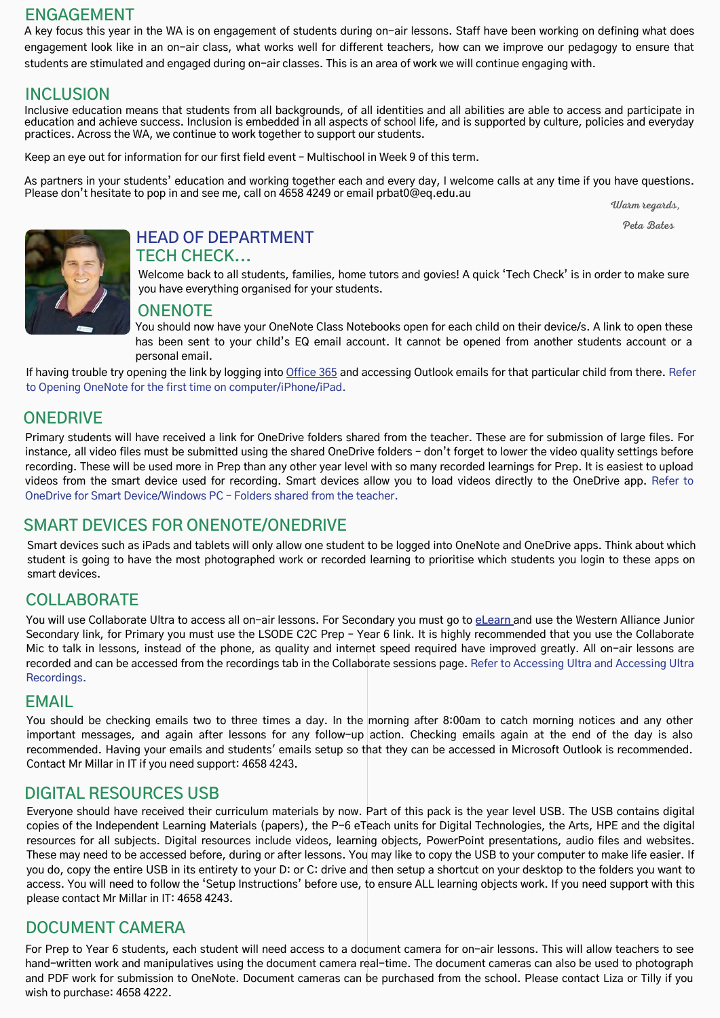#### **ENGAGEMENT**

A key focus this year in the WA is on engagement of students during on-air lessons. Staff have been working on defining what does engagement look like in an on-air class, what works well for different teachers, how can we improve our pedagogy to ensure that students are stimulated and engaged during on-air classes. This is an area of work we will continue engaging with.

# **INCLUSION**

Inclusive education means that students from all backgrounds, of all identities and all abilities are able to access and participate in education and achieve success. Inclusion is embedded in all aspects of school life, and is supported by culture, policies and everyday practices. Across the WA, we continue to work together to support our students.

Keep an eye out for information for our first field event – Multischool in Week 9 of this term.

As partners in your students' education and working together each and every day, I welcome calls at any time if you have questions. Please don't hesitate to pop in and see me, call on 4658 4249 or email prbat0@eq.edu.au

Warm regards,

Peta Bates



# **HEAD OF DEPARTMENT**

#### **TECH CHECK...**

Welcome back to all students, families, home tutors and govies! A quick 'Tech Check' is in order to make sure you have everything organised for your students.

#### **ONENOTE**

You should now have your OneNote Class Notebooks open for each child on their device/s. A link to open these has been sent to your child's EQ email account. It cannot be opened from another students account or a personal email.

If having trouble try opening the link by logging into [Office 365](https://www.office.com/) and accessing Outlook emails for that particular child from there. Refer to Opening OneNote for the first time on computer/iPhone/iPad.

#### **ONEDRIVE**

Primary students will have received a link for OneDrive folders shared from the teacher. These are for submission of large files. For instance, all video files must be submitted using the shared OneDrive folders – don't forget to lower the video quality settings before recording. These will be used more in Prep than any other year level with so many recorded learnings for Prep. It is easiest to upload videos from the smart device used for recording. Smart devices allow you to load videos directly to the OneDrive app. Refer to OneDrive for Smart Device/Windows PC – Folders shared from the teacher.

#### **SMART DEVICES FOR ONENOTE/ONEDRIVE**

Smart devices such as iPads and tablets will only allow one student to be logged into OneNote and OneDrive apps. Think about which student is going to have the most photographed work or recorded learning to prioritise which students you login to these apps on smart devices.

#### **COLLABORATE**

You will use Collaborate Ultra to access all on-air lessons. For Secondary you must go to **[eLearn](https://elearn.eq.edu.au/)** and use the Western Alliance Junior Secondary link, for Primary you must use the LSODE C2C Prep – Year 6 link. It is highly recommended that you use the Collaborate Mic to talk in lessons, instead of the phone, as quality and internet speed required have improved greatly. All on-air lessons are recorded and can be accessed from the recordings tab in the Collaborate sessions page. Refer to Accessing Ultra and Accessing Ultra Recordings.

#### **EMAIL**

You should be checking emails two to three times a day. In the morning after 8:00am to catch morning notices and any other important messages, and again after lessons for any follow-up action. Checking emails again at the end of the day is also recommended. Having your emails and students' emails setup so that they can be accessed in Microsoft Outlook is recommended. Contact Mr Millar in IT if you need support: 4658 4243.

#### **DIGITAL RESOURCES USB**

Everyone should have received their curriculum materials by now. Part of this pack is the year level USB. The USB contains digital copies of the Independent Learning Materials (papers), the P-6 eTeach units for Digital Technologies, the Arts, HPE and the digital resources for all subjects. Digital resources include videos, learning objects, PowerPoint presentations, audio files and websites. These may need to be accessed before, during or after lessons. You may like to copy the USB to your computer to make life easier. If you do, copy the entire USB in its entirety to your D: or C: drive and then setup a shortcut on your desktop to the folders you want to access. You will need to follow the 'Setup Instructions' before use, to ensure ALL learning objects work. If you need support with this please contact Mr Millar in IT: 4658 4243.

#### **DOCUMENT CAMERA**

For Prep to Year 6 students, each student will need access to a document camera for on-air lessons. This will allow teachers to see hand-written work and manipulatives using the document camera real-time. The document cameras can also be used to photograph and PDF work for submission to OneNote. Document cameras can be purchased from the school. Please contact Liza or Tilly if you wish to purchase: 4658 4222.